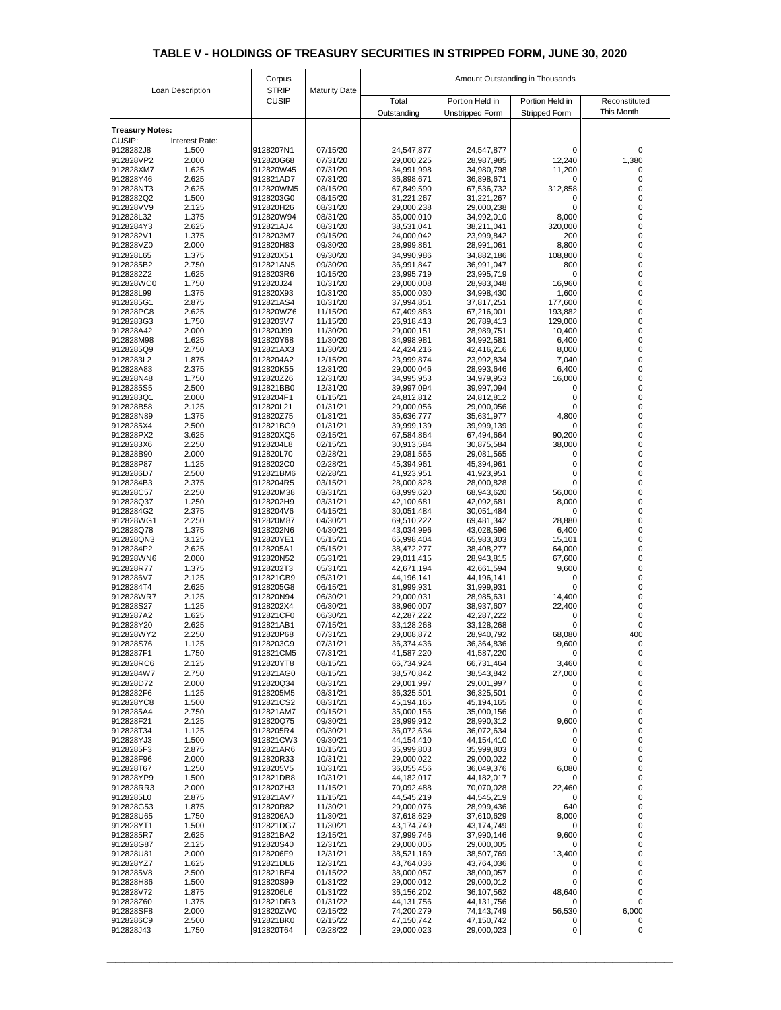| Loan Description           |                         | Corpus                       | <b>Maturity Date</b> | Amount Outstanding in Thousands |                          |                      |               |  |
|----------------------------|-------------------------|------------------------------|----------------------|---------------------------------|--------------------------|----------------------|---------------|--|
|                            |                         | <b>STRIP</b><br><b>CUSIP</b> |                      | Total                           | Portion Held in          | Portion Held in      | Reconstituted |  |
|                            |                         |                              |                      | Outstanding                     | <b>Unstripped Form</b>   | <b>Stripped Form</b> | This Month    |  |
| <b>Treasury Notes:</b>     |                         |                              |                      |                                 |                          |                      |               |  |
| <b>CUSIP:</b><br>9128282J8 | Interest Rate:<br>1.500 | 9128207N1                    | 07/15/20             |                                 | 24,547,877               | 0                    | $\mathbf 0$   |  |
| 912828VP2                  | 2.000                   | 912820G68                    | 07/31/20             | 24,547,877<br>29,000,225        | 28,987,985               | 12,240               | 1,380         |  |
| 912828XM7                  | 1.625                   | 912820W45                    | 07/31/20             | 34,991,998                      | 34,980,798               | 11,200               |               |  |
| 912828Y46<br>912828NT3     | 2.625<br>2.625          | 912821AD7<br>912820WM5       | 07/31/20<br>08/15/20 | 36,898,671<br>67,849,590        | 36,898,671<br>67,536,732 | 0<br>312,858         |               |  |
| 9128282Q2                  | 1.500                   | 9128203G0                    | 08/15/20             | 31,221,267                      | 31,221,267               | O                    |               |  |
| 912828VV9                  | 2.125                   | 912820H26                    | 08/31/20             | 29,000,238                      | 29,000,238               | 0                    |               |  |
| 912828L32<br>9128284Y3     | 1.375<br>2.625          | 912820W94<br>912821AJ4       | 08/31/20<br>08/31/20 | 35,000,010<br>38,531,041        | 34,992,010<br>38,211,041 | 8,000<br>320,000     |               |  |
| 9128282V1                  | 1.375                   | 9128203M7                    | 09/15/20             | 24,000,042                      | 23,999,842               | 200                  | 0             |  |
| 912828VZ0                  | 2.000                   | 912820H83                    | 09/30/20             | 28,999,861                      | 28,991,061               | 8,800                |               |  |
| 912828L65<br>9128285B2     | 1.375<br>2.750          | 912820X51<br>912821AN5       | 09/30/20<br>09/30/20 | 34,990,986<br>36,991,847        | 34,882,186<br>36,991,047 | 108,800<br>800       |               |  |
| 9128282Z2                  | 1.625                   | 9128203R6                    | 10/15/20             | 23,995,719                      | 23,995,719               | 0                    |               |  |
| 912828WC0                  | 1.750                   | 912820J24                    | 10/31/20             | 29,000,008                      | 28,983,048               | 16,960               | 0             |  |
| 912828L99<br>9128285G1     | 1.375<br>2.875          | 912820X93<br>912821AS4       | 10/31/20<br>10/31/20 | 35,000,030<br>37,994,851        | 34,998,430<br>37,817,251 | 1,600<br>177,600     |               |  |
| 912828PC8                  | 2.625                   | 912820WZ6                    | 11/15/20             | 67,409,883                      | 67,216,001               | 193,882              |               |  |
| 9128283G3                  | 1.750                   | 9128203V7                    | 11/15/20             | 26,918,413                      | 26,789,413               | 129,000              |               |  |
| 912828A42<br>912828M98     | 2.000<br>1.625          | 912820J99<br>912820Y68       | 11/30/20<br>11/30/20 | 29,000,151                      | 28,989,751               | 10,400               |               |  |
| 9128285Q9                  | 2.750                   | 912821AX3                    | 11/30/20             | 34,998,981<br>42,424,216        | 34,992,581<br>42,416,216 | 6,400<br>8,000       |               |  |
| 9128283L2                  | 1.875                   | 9128204A2                    | 12/15/20             | 23,999,874                      | 23,992,834               | 7,040                |               |  |
| 912828A83                  | 2.375                   | 912820K55                    | 12/31/20             | 29,000,046                      | 28,993,646               | 6,400                |               |  |
| 912828N48<br>9128285S5     | 1.750<br>2.500          | 912820Z26<br>912821BB0       | 12/31/20<br>12/31/20 | 34,995,953<br>39,997,094        | 34,979,953<br>39,997,094 | 16,000<br>0          |               |  |
| 9128283Q1                  | 2.000                   | 9128204F1                    | 01/15/21             | 24,812,812                      | 24,812,812               |                      |               |  |
| 912828B58                  | 2.125                   | 912820L21                    | 01/31/21             | 29,000,056                      | 29,000,056               | 0                    |               |  |
| 912828N89<br>9128285X4     | 1.375<br>2.500          | 912820Z75<br>912821BG9       | 01/31/21<br>01/31/21 | 35,636,777<br>39,999,139        | 35,631,977<br>39,999,139 | 4,800<br>$\Omega$    |               |  |
| 912828PX2                  | 3.625                   | 912820XQ5                    | 02/15/21             | 67,584,864                      | 67,494,664               | 90,200               |               |  |
| 9128283X6                  | 2.250                   | 9128204L8                    | 02/15/21             | 30,913,584                      | 30,875,584               | 38,000               |               |  |
| 912828B90<br>912828P87     | 2.000<br>1.125          | 912820L70<br>9128202C0       | 02/28/21<br>02/28/21 | 29,081,565<br>45,394,961        | 29,081,565<br>45,394,961 | $\Omega$             |               |  |
| 9128286D7                  | 2.500                   | 912821BM6                    | 02/28/21             | 41,923,951                      | 41,923,951               |                      |               |  |
| 9128284B3                  | 2.375                   | 9128204R5                    | 03/15/21             | 28,000,828                      | 28,000,828               |                      |               |  |
| 912828C57<br>912828Q37     | 2.250<br>1.250          | 912820M38<br>9128202H9       | 03/31/21<br>03/31/21 | 68,999,620<br>42,100,681        | 68,943,620<br>42,092,681 | 56,000<br>8,000      |               |  |
| 9128284G2                  | 2.375                   | 9128204V6                    | 04/15/21             | 30,051,484                      | 30,051,484               | 0                    |               |  |
| 912828WG1                  | 2.250                   | 912820M87                    | 04/30/21             | 69,510,222                      | 69,481,342               | 28,880               |               |  |
| 912828Q78<br>912828QN3     | 1.375<br>3.125          | 9128202N6<br>912820YE1       | 04/30/21<br>05/15/21 | 43,034,996<br>65,998,404        | 43,028,596<br>65,983,303 | 6,400<br>15,101      |               |  |
| 9128284P2                  | 2.625                   | 9128205A1                    | 05/15/21             | 38,472,277                      | 38,408,277               | 64,000               |               |  |
| 912828WN6                  | 2.000                   | 912820N52                    | 05/31/21             | 29,011,415                      | 28,943,815               | 67,600               |               |  |
| 912828R77<br>9128286V7     | 1.375<br>2.125          | 9128202T3<br>912821CB9       | 05/31/21<br>05/31/21 | 42,671,194<br>44,196,141        | 42,661,594<br>44,196,141 | 9,600<br>$\Omega$    |               |  |
| 9128284T4                  | 2.625                   | 9128205G8                    | 06/15/21             | 31,999,931                      | 31,999,931               |                      |               |  |
| 912828WR7                  | 2.125                   | 912820N94                    | 06/30/21             | 29,000,031                      | 28,985,631               | 14,400               |               |  |
| 912828S27<br>9128287A2     | 1.125<br>1.625          | 9128202X4<br>912821CF0       | 06/30/21<br>06/30/21 | 38,960,007<br>42,287,222        | 38,937,607<br>42,287,222 | 22,400               |               |  |
| 912828Y20                  | 2.625                   | 912821AB1                    | 07/15/21             | 33,128,268                      | 33,128,268               |                      |               |  |
| 912828WY2                  | 2.250                   | 912820P68                    | 07/31/21             | 29,008,872                      | 28,940,792               | 68,080               | 400           |  |
| 912828S76<br>9128287F1     | 1.125<br>1.750          | 9128203C9<br>912821CM5       | 07/31/21<br>07/31/21 | 36,374,436<br>41,587,220        | 36,364,836               | 9,600<br>0           |               |  |
| 912828RC6                  | 2.125                   | 912820YT8                    | 08/15/21             | 66,734,924                      | 41,587,220<br>66,731,464 | 3,460                |               |  |
| 9128284W7                  | 2.750                   | 912821AG0                    | 08/15/21             | 38,570,842                      | 38,543,842               | 27,000               | 0             |  |
| 912828D72                  | 2.000                   | 912820Q34                    | 08/31/21             | 29,001,997                      | 29,001,997               | 0                    |               |  |
| 9128282F6<br>912828YC8     | 1.125<br>1.500          | 9128205M5<br>912821CS2       | 08/31/21<br>08/31/21 | 36,325,501<br>45,194,165        | 36,325,501<br>45,194,165 | 0<br>0               |               |  |
| 9128285A4                  | 2.750                   | 912821AM7                    | 09/15/21             | 35,000,156                      | 35,000,156               | 0                    |               |  |
| 912828F21                  | 2.125                   | 912820Q75                    | 09/30/21             | 28,999,912                      | 28,990,312               | 9,600                |               |  |
| 912828T34<br>912828YJ3     | 1.125<br>1.500          | 9128205R4<br>912821CW3       | 09/30/21<br>09/30/21 | 36,072,634<br>44,154,410        | 36,072,634<br>44,154,410 | 0<br>0               |               |  |
| 9128285F3                  | 2.875                   | 912821AR6                    | 10/15/21             | 35,999,803                      | 35,999,803               | 0                    |               |  |
| 912828F96                  | 2.000                   | 912820R33                    | 10/31/21             | 29,000,022                      | 29,000,022               | 0                    |               |  |
| 912828T67<br>912828YP9     | 1.250<br>1.500          | 9128205V5<br>912821DB8       | 10/31/21<br>10/31/21 | 36,055,456<br>44,182,017        | 36,049,376<br>44,182,017 | 6,080<br>0           |               |  |
| 912828RR3                  | 2.000                   | 912820ZH3                    | 11/15/21             | 70,092,488                      | 70,070,028               | 22,460               |               |  |
| 9128285L0                  | 2.875                   | 912821AV7                    | 11/15/21             | 44,545,219                      | 44,545,219               | 0                    |               |  |
| 912828G53<br>912828U65     | 1.875<br>1.750          | 912820R82<br>9128206A0       | 11/30/21<br>11/30/21 | 29,000,076<br>37,618,629        | 28,999,436<br>37,610,629 | 640<br>8,000         |               |  |
| 912828YT1                  | 1.500                   | 912821DG7                    | 11/30/21             | 43,174,749                      | 43,174,749               | 0                    |               |  |
| 9128285R7                  | 2.625                   | 912821BA2                    | 12/15/21             | 37,999,746                      | 37,990,146               | 9,600                |               |  |
| 912828G87<br>912828U81     | 2.125<br>2.000          | 912820S40<br>9128206F9       | 12/31/21<br>12/31/21 | 29,000,005<br>38,521,169        | 29,000,005<br>38,507,769 | 0<br>13,400          |               |  |
| 912828YZ7                  | 1.625                   | 912821DL6                    | 12/31/21             | 43,764,036                      | 43,764,036               | $\Omega$             |               |  |
| 9128285V8                  | 2.500                   | 912821BE4                    | 01/15/22             | 38,000,057                      | 38,000,057               |                      |               |  |
| 912828H86<br>912828V72     | 1.500<br>1.875          | 912820S99<br>9128206L6       | 01/31/22<br>01/31/22 | 29,000,012<br>36,156,202        | 29,000,012<br>36,107,562 | 0<br>48,640          |               |  |
| 912828Z60                  | 1.375                   | 912821DR3                    | 01/31/22             | 44, 131, 756                    | 44,131,756               | 0                    |               |  |
| 912828SF8                  | 2.000                   | 912820ZW0                    | 02/15/22             | 74,200,279                      | 74,143,749               | 56,530               | 6,000         |  |
| 9128286C9<br>912828J43     | 2.500                   | 912821BK0<br>912820T64       | 02/15/22             | 47,150,742                      | 47,150,742               | 0                    |               |  |
|                            | 1.750                   |                              | 02/28/22             | 29,000,023                      | 29,000,023               | 0                    | 0             |  |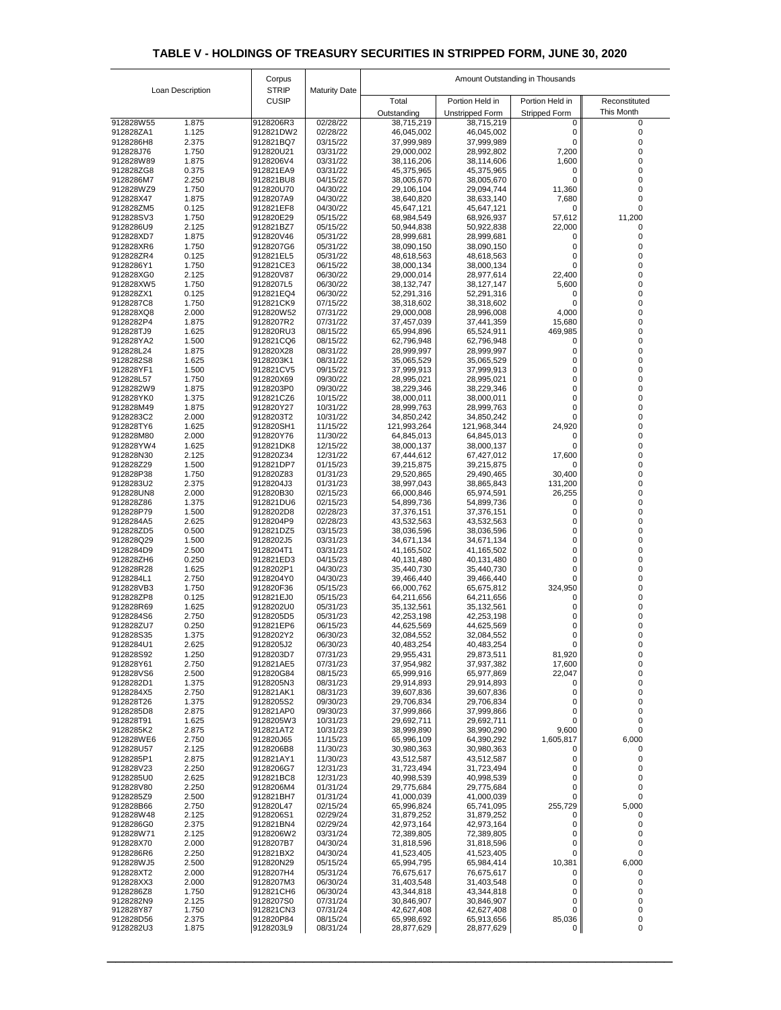|                        |                  | Corpus                       |                      | Amount Outstanding in Thousands |                           |                      |                   |  |
|------------------------|------------------|------------------------------|----------------------|---------------------------------|---------------------------|----------------------|-------------------|--|
|                        | Loan Description | <b>STRIP</b><br><b>CUSIP</b> | <b>Maturity Date</b> | Total                           | Portion Held in           | Portion Held in      | Reconstituted     |  |
|                        |                  |                              |                      | Outstanding                     | <b>Unstripped Form</b>    | <b>Stripped Form</b> | This Month        |  |
| 912828W55<br>912828ZA1 | 1.875<br>1.125   | 9128206R3<br>912821DW2       | 02/28/22<br>02/28/22 | 38,715,219<br>46,045,002        | 38,715,219<br>46,045,002  | 0.                   | 0                 |  |
| 9128286H8              | 2.375            | 912821BQ7                    | 03/15/22             | 37,999,989                      | 37,999,989                |                      |                   |  |
| 912828J76<br>912828W89 | 1.750<br>1.875   | 912820U21<br>9128206V4       | 03/31/22<br>03/31/22 | 29,000,002<br>38,116,206        | 28,992,802<br>38,114,606  | 7,200<br>1,600       |                   |  |
| 912828ZG8              | 0.375            | 912821EA9                    | 03/31/22             | 45,375,965                      | 45,375,965                |                      |                   |  |
| 9128286M7<br>912828WZ9 | 2.250<br>1.750   | 912821BU8<br>912820U70       | 04/15/22<br>04/30/22 | 38,005,670<br>29,106,104        | 38,005,670<br>29,094,744  | 11,360               | 0                 |  |
| 912828X47<br>912828ZM5 | 1.875<br>0.125   | 9128207A9<br>912821EF8       | 04/30/22<br>04/30/22 | 38,640,820<br>45,647,121        | 38,633,140<br>45,647,121  | 7,680                |                   |  |
| 912828SV3              | 1.750            | 912820E29                    | 05/15/22             | 68,984,549                      | 68,926,937                | 57,612               | 11,200            |  |
| 9128286U9<br>912828XD7 | 2.125<br>1.875   | 912821BZ7<br>912820V46       | 05/15/22<br>05/31/22 | 50,944,838<br>28,999,681        | 50,922,838<br>28,999,681  | 22,000               |                   |  |
| 912828XR6              | 1.750            | 9128207G6                    | 05/31/22             | 38,090,150                      | 38,090,150                |                      |                   |  |
| 912828ZR4<br>9128286Y1 | 0.125<br>1.750   | 912821EL5<br>912821CE3       | 05/31/22<br>06/15/22 | 48,618,563<br>38,000,134        | 48,618,563<br>38,000,134  | 0                    |                   |  |
| 912828XG0              | 2.125            | 912820V87                    | 06/30/22             | 29,000,014                      | 28,977,614                | 22,400               |                   |  |
| 912828XW5<br>912828ZX1 | 1.750<br>0.125   | 9128207L5<br>912821EQ4       | 06/30/22<br>06/30/22 | 38, 132, 747<br>52,291,316      | 38,127,147<br>52,291,316  | 5,600                |                   |  |
| 9128287C8              | 1.750            | 912821CK9                    | 07/15/22             | 38,318,602                      | 38,318,602                |                      |                   |  |
| 912828XQ8<br>9128282P4 | 2.000<br>1.875   | 912820W52<br>9128207R2       | 07/31/22<br>07/31/22 | 29,000,008<br>37,457,039        | 28,996,008<br>37,441,359  | 4,000<br>15,680      |                   |  |
| 912828TJ9              | 1.625            | 912820RU3                    | 08/15/22             | 65,994,896                      | 65,524,911                | 469,985              |                   |  |
| 912828YA2<br>912828L24 | 1.500<br>1.875   | 912821CQ6<br>912820X28       | 08/15/22<br>08/31/22 | 62,796,948<br>28,999,997        | 62,796,948<br>28,999,997  |                      |                   |  |
| 9128282S8              | 1.625            | 9128203K1<br>912821CV5       | 08/31/22             | 35,065,529                      | 35,065,529                |                      |                   |  |
| 912828YF1<br>912828L57 | 1.500<br>1.750   | 912820X69                    | 09/15/22<br>09/30/22 | 37,999,913<br>28,995,021        | 37,999,913<br>28,995,021  | U.<br>0              |                   |  |
| 9128282W9<br>912828YK0 | 1.875<br>1.375   | 9128203P0<br>912821CZ6       | 09/30/22<br>10/15/22 | 38,229,346<br>38,000,011        | 38,229,346<br>38,000,011  | 0                    |                   |  |
| 912828M49              | 1.875            | 912820Y27                    | 10/31/22             | 28,999,763                      | 28,999,763                |                      |                   |  |
| 9128283C2<br>912828TY6 | 2.000<br>1.625   | 9128203T2<br>912820SH1       | 10/31/22<br>11/15/22 | 34,850,242<br>121,993,264       | 34,850,242<br>121,968,344 | 24,920               |                   |  |
| 912828M80              | 2.000            | 912820Y76                    | 11/30/22             | 64,845,013                      | 64,845,013                |                      |                   |  |
| 912828YW4<br>912828N30 | 1.625<br>2.125   | 912821DK8<br>912820Z34       | 12/15/22<br>12/31/22 | 38,000,137<br>67,444,612        | 38,000,137<br>67,427,012  | 17,600               |                   |  |
| 912828Z29              | 1.500            | 912821DP7                    | 01/15/23             | 39,215,875                      | 39,215,875                | 0                    |                   |  |
| 912828P38<br>9128283U2 | 1.750<br>2.375   | 912820Z83<br>9128204J3       | 01/31/23<br>01/31/23 | 29,520,865<br>38,997,043        | 29,490,465<br>38,865,843  | 30,400<br>131,200    |                   |  |
| 912828UN8              | 2.000            | 912820B30                    | 02/15/23             | 66,000,846                      | 65,974,591                | 26,255               |                   |  |
| 912828Z86<br>912828P79 | 1.375<br>1.500   | 912821DU6<br>9128202D8       | 02/15/23<br>02/28/23 | 54,899,736<br>37,376,151        | 54,899,736<br>37,376,151  |                      |                   |  |
| 9128284A5              | 2.625            | 9128204P9                    | 02/28/23             | 43,532,563                      | 43,532,563                |                      |                   |  |
| 912828ZD5<br>912828Q29 | 0.500<br>1.500   | 912821DZ5<br>9128202J5       | 03/15/23<br>03/31/23 | 38,036,596<br>34,671,134        | 38,036,596<br>34,671,134  |                      |                   |  |
| 9128284D9              | 2.500            | 9128204T1                    | 03/31/23             | 41,165,502                      | 41,165,502                |                      |                   |  |
| 912828ZH6<br>912828R28 | 0.250<br>1.625   | 912821ED3<br>9128202P1       | 04/15/23<br>04/30/23 | 40,131,480<br>35,440,730        | 40,131,480<br>35,440,730  |                      |                   |  |
| 9128284L1<br>912828VB3 | 2.750<br>1.750   | 9128204Y0<br>912820F36       | 04/30/23<br>05/15/23 | 39,466,440<br>66,000,762        | 39,466,440<br>65,675,812  | 324,950              |                   |  |
| 912828ZP8              | 0.125            | 912821EJ0                    | 05/15/23             | 64,211,656                      | 64,211,656                |                      |                   |  |
| 912828R69<br>9128284S6 | 1.625<br>2.750   | 9128202U0<br>9128205D5       | 05/31/23<br>05/31/23 | 35,132,561<br>42,253,198        | 35,132,561<br>42,253,198  |                      |                   |  |
| 912828ZU7              | 0.250            | 912821EP6                    | 06/15/23             | 44,625,569                      | 44,625,569                |                      |                   |  |
| 912828S35<br>9128284U1 | 1.375<br>2.625   | 9128202Y2<br>9128205J2       | 06/30/23<br>06/30/23 | 32,084,552<br>40,483,254        | 32,084,552<br>40,483,254  |                      |                   |  |
| 912828S92              | 1.250            | 9128203D7                    | 07/31/23             | 29,955,431                      | 29,873,511                | 81,920               |                   |  |
| 912828Y61<br>912828VS6 | 2.750<br>2.500   | 912821AE5<br>912820G84       | 07/31/23<br>08/15/23 | 37,954,982<br>65,999,916        | 37,937,382<br>65,977,869  | 17,600<br>22,047     | 0                 |  |
| 9128282D1              | 1.375            | 9128205N3                    | 08/31/23             | 29,914,893                      | 29,914,893                | 0                    |                   |  |
| 9128284X5<br>912828T26 | 2.750<br>1.375   | 912821AK1<br>9128205S2       | 08/31/23<br>09/30/23 | 39,607,836<br>29,706,834        | 39,607,836<br>29,706,834  |                      |                   |  |
| 9128285D8              | 2.875            | 912821AP0                    | 09/30/23             | 37,999,866                      | 37,999,866                | 0                    |                   |  |
| 912828T91<br>9128285K2 | 1.625<br>2.875   | 9128205W3<br>912821AT2       | 10/31/23<br>10/31/23 | 29,692,711<br>38,999,890        | 29,692,711<br>38,990,290  | 0<br>9,600           | $\mathbf{\Omega}$ |  |
| 912828WE6<br>912828U57 | 2.750<br>2.125   | 912820J65<br>9128206B8       | 11/15/23<br>11/30/23 | 65,996,109<br>30,980,363        | 64,390,292<br>30,980,363  | 1,605,817            | 6,000             |  |
| 9128285P1              | 2.875            | 912821AY1                    | 11/30/23             | 43,512,587                      | 43,512,587                |                      |                   |  |
| 912828V23<br>9128285U0 | 2.250<br>2.625   | 9128206G7<br>912821BC8       | 12/31/23<br>12/31/23 | 31,723,494<br>40,998,539        | 31,723,494<br>40,998,539  | 0                    |                   |  |
| 912828V80              | 2.250            | 9128206M4                    | 01/31/24             | 29,775,684                      | 29,775,684                | 0                    |                   |  |
| 9128285Z9<br>912828B66 | 2.500<br>2.750   | 912821BH7<br>912820L47       | 01/31/24<br>02/15/24 | 41,000,039<br>65,996,824        | 41,000,039<br>65,741,095  | 0<br>255,729         | 5,000             |  |
| 912828W48              | 2.125            | 9128206S1                    | 02/29/24             | 31,879,252                      | 31,879,252                |                      |                   |  |
| 9128286G0<br>912828W71 | 2.375<br>2.125   | 912821BN4<br>9128206W2       | 02/29/24<br>03/31/24 | 42,973,164<br>72,389,805        | 42,973,164<br>72,389,805  |                      |                   |  |
| 912828X70              | 2.000            | 9128207B7                    | 04/30/24             | 31,818,596                      | 31,818,596                |                      |                   |  |
| 9128286R6<br>912828WJ5 | 2.250<br>2.500   | 912821BX2<br>912820N29       | 04/30/24<br>05/15/24 | 41,523,405<br>65,994,795        | 41,523,405<br>65,984,414  | 10,381               | 6,000             |  |
| 912828XT2              | 2.000            | 9128207H4                    | 05/31/24             | 76,675,617                      | 76,675,617                |                      |                   |  |
| 912828XX3<br>9128286Z8 | 2.000<br>1.750   | 9128207M3<br>912821CH6       | 06/30/24<br>06/30/24 | 31,403,548<br>43,344,818        | 31,403,548<br>43,344,818  |                      |                   |  |
| 9128282N9<br>912828Y87 | 2.125<br>1.750   | 9128207S0<br>912821CN3       | 07/31/24<br>07/31/24 | 30,846,907                      | 30,846,907                | 0                    |                   |  |
| 912828D56              | 2.375            | 912820P84                    | 08/15/24             | 42,627,408<br>65,998,692        | 42,627,408<br>65,913,656  | 85,036               |                   |  |
| 9128282U3              | 1.875            | 9128203L9                    | 08/31/24             | 28,877,629                      | 28,877,629                | $\mathbf{0}$         | 0                 |  |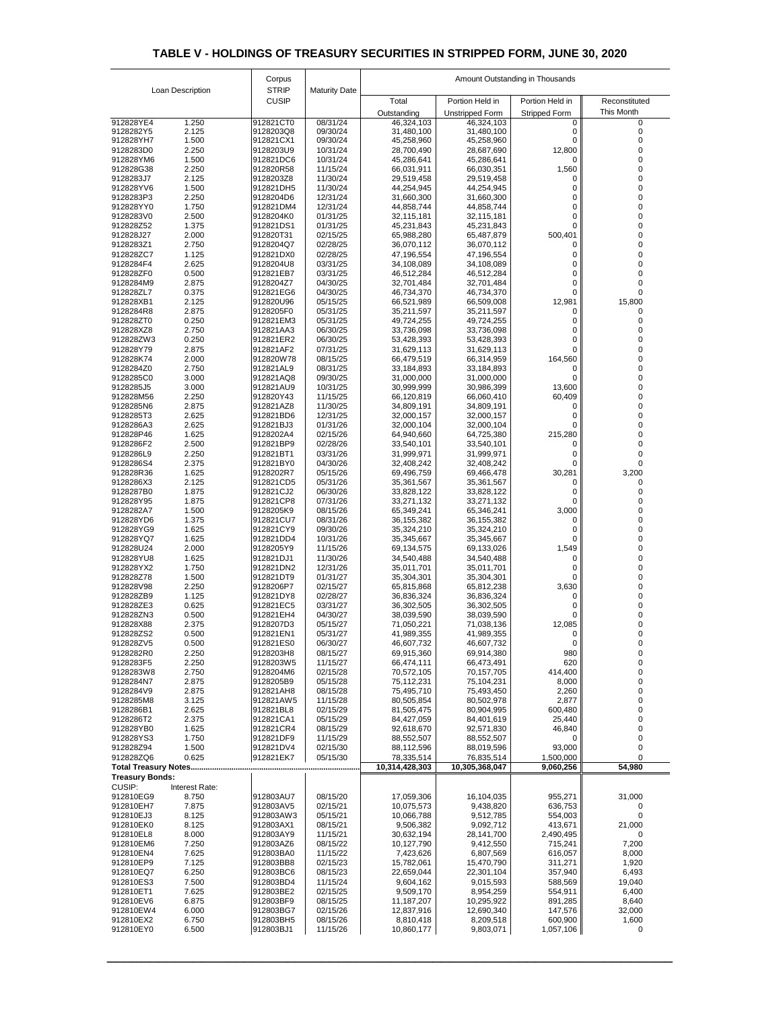|                             |                         | Corpus                 |                      | Amount Outstanding in Thousands |                                      |                           |                             |  |
|-----------------------------|-------------------------|------------------------|----------------------|---------------------------------|--------------------------------------|---------------------------|-----------------------------|--|
|                             | Loan Description        | <b>STRIP</b>           | <b>Maturity Date</b> |                                 |                                      |                           |                             |  |
|                             |                         | <b>CUSIP</b>           |                      | Total                           | Portion Held in                      | Portion Held in           | Reconstituted<br>This Month |  |
| 912828YE4                   | 1.250                   | 912821CT0              | 08/31/24             | Outstanding<br>46,324,103       | <b>Unstripped Form</b><br>46,324,103 | <b>Stripped Form</b><br>0 | 0                           |  |
| 9128282Y5                   | 2.125                   | 9128203Q8              | 09/30/24             | 31,480,100                      | 31,480,100                           | $\mathbf{0}$              | 0                           |  |
| 912828YH7<br>9128283D0      | 1.500<br>2.250          | 912821CX1<br>9128203U9 | 09/30/24<br>10/31/24 | 45,258,960<br>28,700,490        | 45,258,960<br>28,687,690             | 12,800                    | 0                           |  |
| 912828YM6                   | 1.500                   | 912821DC6              | 10/31/24             | 45,286,641                      | 45,286,641                           | 0                         |                             |  |
| 912828G38                   | 2.250                   | 912820R58              | 11/15/24             | 66,031,911                      | 66,030,351                           | 1,560                     |                             |  |
| 9128283J7<br>912828YV6      | 2.125<br>1.500          | 9128203Z8<br>912821DH5 | 11/30/24<br>11/30/24 | 29,519,458<br>44,254,945        | 29,519,458<br>44,254,945             | $\Omega$<br>0             |                             |  |
| 9128283P3                   | 2.250                   | 9128204D6              | 12/31/24             | 31,660,300                      | 31,660,300                           | 0                         |                             |  |
| 912828YY0                   | 1.750                   | 912821DM4              | 12/31/24             | 44,858,744                      | 44,858,744                           | 0                         |                             |  |
| 9128283V0<br>912828Z52      | 2.500<br>1.375          | 9128204K0<br>912821DS1 | 01/31/25<br>01/31/25 | 32,115,181<br>45,231,843        | 32,115,181<br>45,231,843             | 0<br>0                    |                             |  |
| 912828J27                   | 2.000                   | 912820T31              | 02/15/25             | 65,988,280                      | 65,487,879                           | 500,401                   | 0                           |  |
| 9128283Z1                   | 2.750                   | 9128204Q7              | 02/28/25             | 36,070,112                      | 36,070,112                           | O                         |                             |  |
| 912828ZC7                   | 1.125                   | 912821DX0              | 02/28/25             | 47,196,554                      | 47,196,554                           | 0                         |                             |  |
| 9128284F4<br>912828ZF0      | 2.625<br>0.500          | 9128204U8<br>912821EB7 | 03/31/25<br>03/31/25 | 34,108,089<br>46,512,284        | 34,108,089<br>46,512,284             | 0<br>0                    |                             |  |
| 9128284M9                   | 2.875                   | 9128204Z7              | 04/30/25             | 32,701,484                      | 32,701,484                           | 0                         |                             |  |
| 912828ZL7                   | 0.375                   | 912821EG6              | 04/30/25             | 46,734,370                      | 46,734,370                           | $\Omega$                  |                             |  |
| 912828XB1<br>9128284R8      | 2.125<br>2.875          | 912820U96<br>9128205F0 | 05/15/25<br>05/31/25 | 66,521,989<br>35,211,597        | 66,509,008<br>35,211,597             | 12,981<br>0               | 15,800                      |  |
| 912828ZT0                   | 0.250                   | 912821EM3              | 05/31/25             | 49,724,255                      | 49,724,255                           | 0                         |                             |  |
| 912828XZ8                   | 2.750                   | 912821AA3              | 06/30/25             | 33,736,098                      | 33,736,098                           | 0                         |                             |  |
| 912828ZW3<br>912828Y79      | 0.250<br>2.875          | 912821ER2<br>912821AF2 | 06/30/25<br>07/31/25 | 53,428,393<br>31,629,113        | 53,428,393<br>31,629,113             | 0<br>0                    |                             |  |
| 912828K74                   | 2.000                   | 912820W78              | 08/15/25             | 66,479,519                      | 66,314,959                           | 164,560                   | 0                           |  |
| 9128284Z0                   | 2.750                   | 912821AL9              | 08/31/25             | 33,184,893                      | 33,184,893                           | 0                         | 0                           |  |
| 9128285C0                   | 3.000                   | 912821AQ8<br>912821AU9 | 09/30/25             | 31,000,000                      | 31,000,000                           | 0                         |                             |  |
| 9128285J5<br>912828M56      | 3.000<br>2.250          | 912820Y43              | 10/31/25<br>11/15/25 | 30,999,999<br>66,120,819        | 30,986,399<br>66,060,410             | 13,600<br>60,409          |                             |  |
| 9128285N6                   | 2.875                   | 912821AZ8              | 11/30/25             | 34,809,191                      | 34,809,191                           | $\Omega$                  |                             |  |
| 9128285T3                   | 2.625                   | 912821BD6              | 12/31/25             | 32,000,157                      | 32,000,157                           |                           |                             |  |
| 9128286A3<br>912828P46      | 2.625<br>1.625          | 912821BJ3<br>9128202A4 | 01/31/26<br>02/15/26 | 32,000,104<br>64,940,660        | 32,000,104<br>64,725,380             | 215,280                   |                             |  |
| 9128286F2                   | 2.500                   | 912821BP9              | 02/28/26             | 33,540,101                      | 33,540,101                           | $\Omega$                  |                             |  |
| 9128286L9                   | 2.250                   | 912821BT1              | 03/31/26             | 31,999,971                      | 31,999,971                           |                           |                             |  |
| 9128286S4<br>912828R36      | 2.375<br>1.625          | 912821BY0<br>9128202R7 | 04/30/26<br>05/15/26 | 32,408,242<br>69,496,759        | 32,408,242<br>69,466,478             | 0<br>30,281               | 3,200                       |  |
| 9128286X3                   | 2.125                   | 912821CD5              | 05/31/26             | 35,361,567                      | 35,361,567                           | 0                         |                             |  |
| 9128287B0                   | 1.875                   | 912821CJ2              | 06/30/26             | 33,828,122                      | 33,828,122                           |                           |                             |  |
| 912828Y95<br>9128282A7      | 1.875<br>1.500          | 912821CP8<br>9128205K9 | 07/31/26<br>08/15/26 | 33,271,132                      | 33,271,132                           | 0                         |                             |  |
| 912828YD6                   | 1.375                   | 912821CU7              | 08/31/26             | 65,349,241<br>36, 155, 382      | 65,346,241<br>36, 155, 382           | 3,000<br>$\Omega$         |                             |  |
| 912828YG9                   | 1.625                   | 912821CY9              | 09/30/26             | 35,324,210                      | 35,324,210                           |                           |                             |  |
| 912828YQ7                   | 1.625                   | 912821DD4              | 10/31/26             | 35,345,667                      | 35,345,667                           | 0                         |                             |  |
| 912828U24<br>912828YU8      | 2.000<br>1.625          | 9128205Y9<br>912821DJ1 | 11/15/26<br>11/30/26 | 69,134,575<br>34,540,488        | 69,133,026<br>34,540,488             | 1,549<br>0                |                             |  |
| 912828YX2                   | 1.750                   | 912821DN2              | 12/31/26             | 35,011,701                      | 35,011,701                           |                           |                             |  |
| 912828Z78                   | 1.500                   | 912821DT9              | 01/31/27             | 35,304,301                      | 35,304,301                           |                           |                             |  |
| 912828V98<br>912828ZB9      | 2.250<br>1.125          | 9128206P7<br>912821DY8 | 02/15/27<br>02/28/27 | 65,815,868<br>36,836,324        | 65,812,238<br>36,836,324             | 3,630<br>$\Omega$         |                             |  |
| 912828ZE3                   | 0.625                   | 912821EC5              | 03/31/27             | 36,302,505                      | 36,302,505                           |                           |                             |  |
| 912828ZN3                   | 0.500                   | 912821EH4              | 04/30/27             | 38,039,590                      | 38,039,590                           |                           |                             |  |
| 912828X88<br>912828ZS2      | 2.375<br>0.500          | 9128207D3<br>912821EN1 | 05/15/27<br>05/31/27 | 71,050,221<br>41,989,355        | 71,038,136<br>41,989,355             | 12,085<br>$\Omega$        |                             |  |
| 912828ZV5                   | 0.500                   | 912821ES0              | 06/30/27             | 46,607,732                      | 46,607,732                           | 0                         |                             |  |
| 9128282R0                   | 2.250                   | 9128203H8              | 08/15/27             | 69,915,360                      | 69,914,380                           | 980                       | 0                           |  |
| 9128283F5<br>9128283W8      | 2.250<br>2.750          | 9128203W5<br>9128204M6 | 11/15/27<br>02/15/28 | 66,474,111<br>70,572,105        | 66,473,491<br>70,157,705             | 620<br>414,400            | 0<br>0                      |  |
| 9128284N7                   | 2.875                   | 9128205B9              | 05/15/28             | 75,112,231                      | 75,104,231                           | 8,000                     | 0                           |  |
| 9128284V9                   | 2.875                   | 912821AH8              | 08/15/28             | 75,495,710                      | 75,493,450                           | 2,260                     | 0                           |  |
| 9128285M8<br>9128286B1      | 3.125<br>2.625          | 912821AW5<br>912821BL8 | 11/15/28<br>02/15/29 | 80,505,854<br>81,505,475        | 80,502,978<br>80,904,995             | 2,877<br>600,480          | 0                           |  |
| 9128286T2                   | 2.375                   | 912821CA1              | 05/15/29             | 84,427,059                      | 84,401,619                           | 25,440                    |                             |  |
| 912828YB0                   | 1.625                   | 912821CR4              | 08/15/29             | 92,618,670                      | 92,571,830                           | 46,840                    | 0                           |  |
| 912828YS3                   | 1.750                   | 912821DF9              | 11/15/29             | 88,552,507                      | 88,552,507                           | 0                         | 0                           |  |
| 912828Z94<br>912828ZQ6      | 1.500<br>0.625          | 912821DV4<br>912821EK7 | 02/15/30<br>05/15/30 | 88,112,596<br>78,335,514        | 88,019,596<br>76,835,514             | 93,000<br>1,500,000       | 0<br>0                      |  |
| <b>Total Treasury Notes</b> |                         |                        |                      | 10,314,428,303                  | 10,305,368,047                       | 9,060,256                 | 54,980                      |  |
| <b>Treasury Bonds:</b>      |                         |                        |                      |                                 |                                      |                           |                             |  |
| <b>CUSIP:</b><br>912810EG9  | Interest Rate:<br>8.750 | 912803AU7              | 08/15/20             | 17,059,306                      | 16,104,035                           | 955,271                   | 31,000                      |  |
| 912810EH7                   | 7.875                   | 912803AV5              | 02/15/21             | 10,075,573                      | 9,438,820                            | 636,753                   | 0                           |  |
| 912810EJ3                   | 8.125                   | 912803AW3              | 05/15/21             | 10,066,788                      | 9,512,785                            | 554,003                   | 0                           |  |
| 912810EK0<br>912810EL8      | 8.125<br>8.000          | 912803AX1<br>912803AY9 | 08/15/21<br>11/15/21 | 9,506,382<br>30,632,194         | 9,092,712<br>28,141,700              | 413,671<br>2,490,495      | 21,000<br>$\mathbf 0$       |  |
| 912810EM6                   | 7.250                   | 912803AZ6              | 08/15/22             | 10,127,790                      | 9,412,550                            | 715,241                   | 7,200                       |  |
| 912810EN4                   | 7.625                   | 912803BA0              | 11/15/22             | 7,423,626                       | 6,807,569                            | 616,057                   | 8,000                       |  |
| 912810EP9                   | 7.125                   | 912803BB8              | 02/15/23             | 15,782,061                      | 15,470,790                           | 311,271                   | 1,920                       |  |
| 912810EQ7<br>912810ES3      | 6.250<br>7.500          | 912803BC6<br>912803BD4 | 08/15/23<br>11/15/24 | 22,659,044<br>9,604,162         | 22,301,104<br>9,015,593              | 357,940<br>588,569        | 6,493<br>19,040             |  |
| 912810ET1                   | 7.625                   | 912803BE2              | 02/15/25             | 9,509,170                       | 8,954,259                            | 554,911                   | 6,400                       |  |
| 912810EV6                   | 6.875                   | 912803BF9              | 08/15/25             | 11,187,207                      | 10,295,922                           | 891,285                   | 8,640                       |  |
| 912810EW4<br>912810EX2      | 6.000<br>6.750          | 912803BG7<br>912803BH5 | 02/15/26<br>08/15/26 | 12,837,916<br>8,810,418         | 12,690,340<br>8,209,518              | 147,576<br>600,900        | 32,000<br>1,600             |  |
| 912810EY0                   | 6.500                   | 912803BJ1              | 11/15/26             | 10,860,177                      | 9,803,071                            | 1,057,106                 | $\boldsymbol{0}$            |  |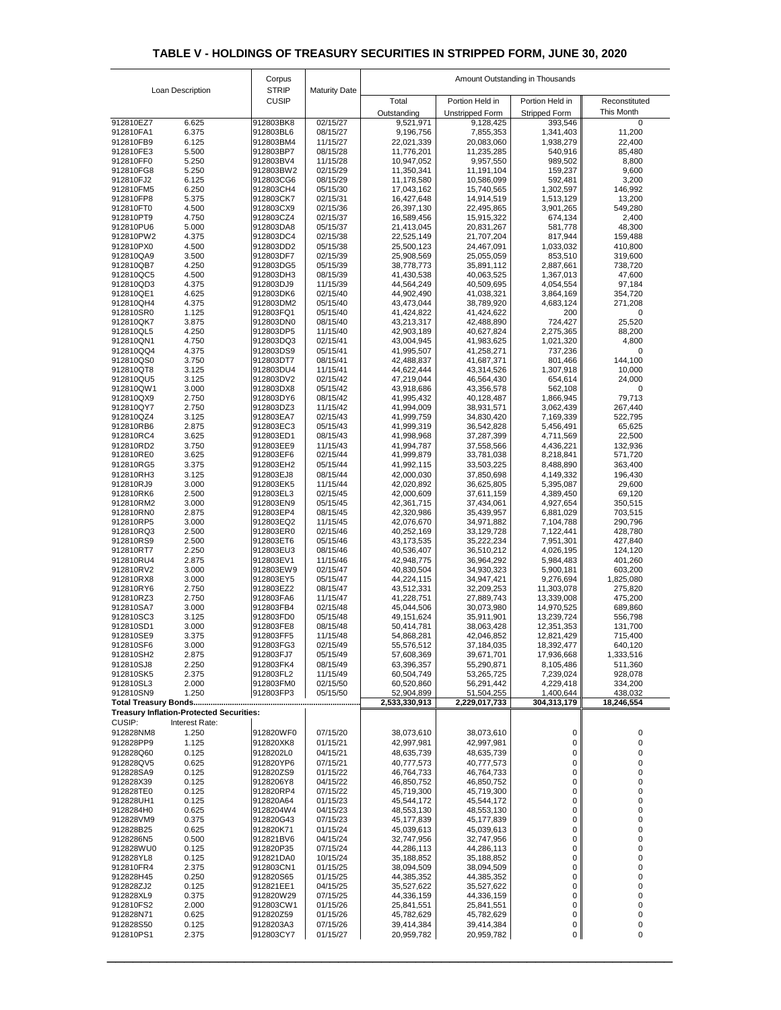|                        |                                                 | Corpus                       |                      | Amount Outstanding in Thousands |                          |                          |                      |
|------------------------|-------------------------------------------------|------------------------------|----------------------|---------------------------------|--------------------------|--------------------------|----------------------|
|                        | Loan Description                                | <b>STRIP</b><br><b>CUSIP</b> | <b>Maturity Date</b> | Total                           | Portion Held in          | Portion Held in          | Reconstituted        |
|                        |                                                 |                              |                      | Outstanding                     | <b>Unstripped Form</b>   | <b>Stripped Form</b>     | This Month           |
| 912810EZ7              | 6.625                                           | 912803BK8                    | 02/15/27             | 9,521,971                       | 9,128,425                | 393,546                  | $\mathbf 0$          |
| 912810FA1<br>912810FB9 | 6.375<br>6.125                                  | 912803BL6<br>912803BM4       | 08/15/27<br>11/15/27 | 9,196,756<br>22,021,339         | 7,855,353<br>20,083,060  | 1,341,403<br>1,938,279   | 11,200<br>22,400     |
| 912810FE3              | 5.500                                           | 912803BP7                    | 08/15/28             | 11,776,201                      | 11,235,285               | 540,916                  | 85,480               |
| 912810FF0<br>912810FG8 | 5.250<br>5.250                                  | 912803BV4<br>912803BW2       | 11/15/28<br>02/15/29 | 10,947,052<br>11,350,341        | 9,957,550<br>11,191,104  | 989,502<br>159,237       | 8,800<br>9,600       |
| 912810FJ2              | 6.125                                           | 912803CG6                    | 08/15/29             | 11,178,580                      | 10,586,099               | 592,481                  | 3,200                |
| 912810FM5              | 6.250                                           | 912803CH4                    | 05/15/30             | 17,043,162                      | 15,740,565               | 1,302,597                | 146,992              |
| 912810FP8<br>912810FT0 | 5.375<br>4.500                                  | 912803CK7<br>912803CX9       | 02/15/31<br>02/15/36 | 16,427,648<br>26,397,130        | 14,914,519<br>22,495,865 | 1,513,129<br>3,901,265   | 13,200<br>549,280    |
| 912810PT9              | 4.750                                           | 912803CZ4                    | 02/15/37             | 16,589,456                      | 15,915,322               | 674,134                  | 2,400                |
| 912810PU6              | 5.000<br>4.375                                  | 912803DA8<br>912803DC4       | 05/15/37<br>02/15/38 | 21,413,045                      | 20,831,267               | 581,778                  | 48,300               |
| 912810PW2<br>912810PX0 | 4.500                                           | 912803DD2                    | 05/15/38             | 22,525,149<br>25,500,123        | 21,707,204<br>24,467,091 | 817,944<br>1,033,032     | 159,488<br>410,800   |
| 912810QA9              | 3.500                                           | 912803DF7                    | 02/15/39             | 25,908,569                      | 25,055,059               | 853,510                  | 319,600              |
| 912810QB7<br>912810QC5 | 4.250<br>4.500                                  | 912803DG5<br>912803DH3       | 05/15/39<br>08/15/39 | 38,778,773<br>41,430,538        | 35,891,112<br>40,063,525 | 2,887,661<br>1,367,013   | 738,720<br>47,600    |
| 912810QD3              | 4.375                                           | 912803DJ9                    | 11/15/39             | 44,564,249                      | 40,509,695               | 4,054,554                | 97,184               |
| 912810QE1              | 4.625                                           | 912803DK6                    | 02/15/40             | 44,902,490                      | 41,038,321               | 3,864,169                | 354,720              |
| 912810QH4<br>912810SR0 | 4.375<br>1.125                                  | 912803DM2<br>912803FQ1       | 05/15/40<br>05/15/40 | 43,473,044<br>41,424,822        | 38,789,920<br>41,424,622 | 4,683,124<br>200         | 271,208<br>0         |
| 912810QK7              | 3.875                                           | 912803DN0                    | 08/15/40             | 43,213,317                      | 42,488,890               | 724,427                  | 25,520               |
| 912810QL5<br>912810QN1 | 4.250<br>4.750                                  | 912803DP5<br>912803DQ3       | 11/15/40<br>02/15/41 | 42,903,189<br>43,004,945        | 40,627,824<br>41,983,625 | 2,275,365<br>1,021,320   | 88,200<br>4,800      |
| 912810QQ4              | 4.375                                           | 912803DS9                    | 05/15/41             | 41,995,507                      | 41,258,271               | 737,236                  | $\mathbf 0$          |
| 912810QS0              | 3.750                                           | 912803DT7                    | 08/15/41             | 42,488,837                      | 41,687,371               | 801,466                  | 144,100              |
| 912810QT8<br>912810QU5 | 3.125<br>3.125                                  | 912803DU4<br>912803DV2       | 11/15/41<br>02/15/42 | 44,622,444<br>47,219,044        | 43,314,526<br>46,564,430 | 1,307,918<br>654,614     | 10,000<br>24,000     |
| 912810QW1              | 3.000                                           | 912803DX8                    | 05/15/42             | 43,918,686                      | 43,356,578               | 562,108                  | 0                    |
| 912810QX9<br>912810QY7 | 2.750<br>2.750                                  | 912803DY6<br>912803DZ3       | 08/15/42<br>11/15/42 | 41,995,432<br>41,994,009        | 40,128,487<br>38,931,571 | 1,866,945<br>3,062,439   | 79,713<br>267,440    |
| 912810QZ4              | 3.125                                           | 912803EA7                    | 02/15/43             | 41,999,759                      | 34,830,420               | 7,169,339                | 522,795              |
| 912810RB6              | 2.875                                           | 912803EC3                    | 05/15/43             | 41,999,319                      | 36,542,828               | 5,456,491                | 65,625               |
| 912810RC4<br>912810RD2 | 3.625<br>3.750                                  | 912803ED1<br>912803EE9       | 08/15/43<br>11/15/43 | 41,998,968<br>41,994,787        | 37,287,399<br>37,558,566 | 4,711,569<br>4,436,221   | 22,500<br>132,936    |
| 912810RE0              | 3.625                                           | 912803EF6                    | 02/15/44             | 41,999,879                      | 33,781,038               | 8,218,841                | 571,720              |
| 912810RG5              | 3.375                                           | 912803EH2                    | 05/15/44             | 41,992,115                      | 33,503,225               | 8,488,890                | 363,400              |
| 912810RH3<br>912810RJ9 | 3.125<br>3.000                                  | 912803EJ8<br>912803EK5       | 08/15/44<br>11/15/44 | 42,000,030<br>42,020,892        | 37,850,698<br>36,625,805 | 4,149,332<br>5,395,087   | 196,430<br>29,600    |
| 912810RK6              | 2.500                                           | 912803EL3                    | 02/15/45             | 42,000,609                      | 37,611,159               | 4,389,450                | 69,120               |
| 912810RM2<br>912810RN0 | 3.000<br>2.875                                  | 912803EN9<br>912803EP4       | 05/15/45<br>08/15/45 | 42,361,715<br>42,320,986        | 37,434,061<br>35,439,957 | 4,927,654<br>6,881,029   | 350,515<br>703,515   |
| 912810RP5              | 3.000                                           | 912803EQ2                    | 11/15/45             | 42,076,670                      | 34,971,882               | 7,104,788                | 290,796              |
| 912810RQ3              | 2.500                                           | 912803ER0                    | 02/15/46             | 40,252,169                      | 33,129,728               | 7,122,441                | 428,780              |
| 912810RS9<br>912810RT7 | 2.500<br>2.250                                  | 912803ET6<br>912803EU3       | 05/15/46<br>08/15/46 | 43,173,535<br>40,536,407        | 35,222,234<br>36,510,212 | 7,951,301<br>4,026,195   | 427,840<br>124,120   |
| 912810RU4              | 2.875                                           | 912803EV1                    | 11/15/46             | 42,948,775                      | 36,964,292               | 5,984,483                | 401,260              |
| 912810RV2<br>912810RX8 | 3.000<br>3.000                                  | 912803EW9<br>912803EY5       | 02/15/47<br>05/15/47 | 40,830,504<br>44,224,115        | 34,930,323<br>34,947,421 | 5,900,181<br>9,276,694   | 603,200<br>1,825,080 |
| 912810RY6              | 2.750                                           | 912803EZ2                    | 08/15/47             | 43,512,331                      | 32,209,253               | 11,303,078               | 275,820              |
| 912810RZ3              | 2.750                                           | 912803FA6                    | 11/15/47             | 41,228,751                      | 27,889,743               | 13,339,008               | 475,200              |
| 912810SA7<br>912810SC3 | 3.000<br>3.125                                  | 912803FB4<br>912803FD0       | 02/15/48<br>05/15/48 | 45,044,506<br>49,151,624        | 30,073,980<br>35,911,901 | 14,970,525<br>13,239,724 | 689,860<br>556,798   |
| 912810SD1              | 3.000                                           | 912803FE8                    | 08/15/48             | 50,414,781                      | 38,063,428               | 12,351,353               | 131,700              |
| 912810SE9<br>912810SF6 | 3.375<br>3.000                                  | 912803FF5<br>912803FG3       | 11/15/48<br>02/15/49 | 54,868,281<br>55,576,512        | 42,046,852<br>37,184,035 | 12,821,429<br>18,392,477 | 715,400<br>640,120   |
| 912810SH2              | 2.875                                           | 912803FJ7                    | 05/15/49             | 57,608,369                      | 39,671,701               | 17,936,668               | 1,333,516            |
| 912810SJ8              | 2.250                                           | 912803FK4                    | 08/15/49             | 63,396,357                      | 55,290,871               | 8,105,486                | 511,360              |
| 912810SK5<br>912810SL3 | 2.375<br>2.000                                  | 912803FL2<br>912803FM0       | 11/15/49<br>02/15/50 | 60,504,749<br>60,520,860        | 53,265,725<br>56,291,442 | 7,239,024<br>4,229,418   | 928,078<br>334,200   |
| 912810SN9              | 1.250                                           | 912803FP3                    | 05/15/50             | 52,904,899                      | 51,504,255               | 1,400,644                | 438,032              |
|                        | <b>Treasury Inflation-Protected Securities:</b> |                              |                      | 2,533,330,913                   | 2,229,017,733            | 304,313,179              | 18,246,554           |
| CUSIP:                 | Interest Rate:                                  |                              |                      |                                 |                          |                          |                      |
| 912828NM8              | 1.250<br>1.125                                  | 912820WF0                    | 07/15/20             | 38,073,610                      | 38,073,610               | 0                        | 0                    |
| 912828PP9<br>912828Q60 | 0.125                                           | 912820XK8<br>9128202L0       | 01/15/21<br>04/15/21 | 42,997,981<br>48,635,739        | 42,997,981<br>48,635,739 | 0<br>0                   | 0<br>0               |
| 912828QV5              | 0.625                                           | 912820YP6                    | 07/15/21             | 40,777,573                      | 40,777,573               | 0                        | 0                    |
| 912828SA9              | 0.125                                           | 912820ZS9                    | 01/15/22             | 46,764,733                      | 46,764,733               | 0                        | 0                    |
| 912828X39<br>912828TE0 | 0.125<br>0.125                                  | 9128206Y8<br>912820RP4       | 04/15/22<br>07/15/22 | 46,850,752<br>45,719,300        | 46,850,752<br>45,719,300 | 0<br>0                   |                      |
| 912828UH1              | 0.125                                           | 912820A64                    | 01/15/23             | 45,544,172                      | 45,544,172               | 0                        | 0                    |
| 9128284H0<br>912828VM9 | 0.625<br>0.375                                  | 9128204W4<br>912820G43       | 04/15/23<br>07/15/23 | 48,553,130<br>45,177,839        | 48,553,130<br>45,177,839 | $\mathbf 0$<br>0         | 0                    |
| 912828B25              | 0.625                                           | 912820K71                    | 01/15/24             | 45,039,613                      | 45,039,613               | 0                        |                      |
| 9128286N5              | 0.500                                           | 912821BV6                    | 04/15/24             | 32,747,956                      | 32,747,956               | $\mathbf 0$              |                      |
| 912828WU0<br>912828YL8 | 0.125<br>0.125                                  | 912820P35<br>912821DA0       | 07/15/24<br>10/15/24 | 44,286,113<br>35,188,852        | 44,286,113<br>35,188,852 | 0<br>0                   | 0                    |
| 912810FR4              | 2.375                                           | 912803CN1                    | 01/15/25             | 38,094,509                      | 38,094,509               | 0                        |                      |
| 912828H45<br>912828ZJ2 | 0.250<br>0.125                                  | 912820S65<br>912821EE1       | 01/15/25<br>04/15/25 | 44,385,352<br>35,527,622        | 44,385,352<br>35,527,622 | 0<br>$\mathbf 0$         |                      |
| 912828XL9              | 0.375                                           | 912820W29                    | 07/15/25             | 44,336,159                      | 44,336,159               | 0                        | 0                    |
| 912810FS2              | 2.000                                           | 912803CW1                    | 01/15/26             | 25,841,551                      | 25,841,551               | 0                        | 0                    |
| 912828N71<br>912828S50 | 0.625<br>0.125                                  | 912820Z59<br>9128203A3       | 01/15/26<br>07/15/26 | 45,782,629<br>39,414,384        | 45,782,629<br>39,414,384 | $\overline{0}$<br>0      | 0<br>0               |
| 912810PS1              | 2.375                                           | 912803CY7                    | 01/15/27             | 20,959,782                      | 20,959,782               | $\overline{0}$           | 0                    |